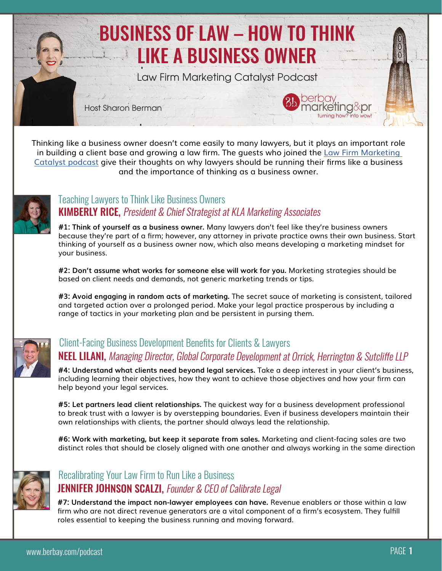

Thinking like a business owner doesn't come easily to many lawyers, but it plays an important role in building a client base and growing a law firm. The guests who joined the [Law Firm Marketing](http://bit.ly/BBLFMCpodcast)  [Catalyst podcast](http://bit.ly/BBLFMCpodcast) give their thoughts on why lawyers should be running their firms like a business and the importance of thinking as a business owner.



### **KIMBERLY RICE, President & Chief Strategist at KLA Marketing Associates** [Teaching Lawyers to Think Like Business Owners](http://bit.ly/LFMCkimberly)

**#1: Think of yourself as a business owner.** Many lawyers don't feel like they're business owners because they're part of a firm; however, any attorney in private practice owns their own business. Start thinking of yourself as a business owner now, which also means developing a marketing mindset for your business.

**#2: Don't assume what works for someone else will work for you.** Marketing strategies should be based on client needs and demands, not generic marketing trends or tips.

**#3: Avoid engaging in random acts of marketing.** The secret sauce of marketing is consistent, tailored and targeted action over a prolonged period. Make your legal practice prosperous by including a range of tactics in your marketing plan and be persistent in pursing them.



### NEEL LILANI, Managing Director, Global Corporate Development at Orrick, Herrington & Sutcliffe LLP [Client-Facing Business Development Benefits for Clients & Lawyers](http://bit.ly/LFMCneel)

**#4: Understand what clients need beyond legal services.** Take a deep interest in your client's business, including learning their objectives, how they want to achieve those objectives and how your firm can help beyond your legal services.

**#5: Let partners lead client relationships.** The quickest way for a business development professional to break trust with a lawyer is by overstepping boundaries. Even if business developers maintain their own relationships with clients, the partner should always lead the relationship.

**#6: Work with marketing, but keep it separate from sales.** Marketing and client-facing sales are two distinct roles that should be closely aligned with one another and always working in the same direction



### **JENNIFER JOHNSON SCALZI, Founder & CEO of Calibrate Legal** [Recalibrating Your Law Firm to Run Like a Business](http://bit.ly/LFMCjennifer)

**#7: Understand the impact non-lawyer employees can have.** Revenue enablers or those within a law firm who are not direct revenue generators are a vital component of a firm's ecosystem. They fulfill roles essential to keeping the business running and moving forward.